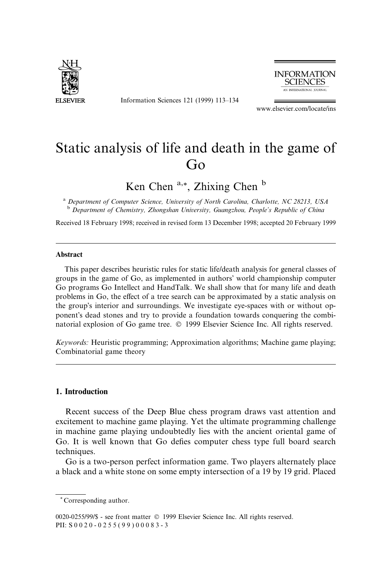

Information Sciences 121 (1999) 113-134



www.elsevier.com/locate/ins

# Static analysis of life and death in the game of Go

Ken Chen  $a_{\alpha *}$ , Zhixing Chen  $b$ 

<sup>a</sup> Department of Computer Science, University of North Carolina, Charlotte, NC 28213, USA <sup>b</sup> Department of Chemistry, Zhongshan University, Guangzhou, People's Republic of China

Received 18 February 1998; received in revised form 13 December 1998; accepted 20 February 1999

#### Abstract

This paper describes heuristic rules for static life/death analysis for general classes of groups in the game of Go, as implemented in authors' world championship computer Go programs Go Intellect and HandTalk. We shall show that for many life and death problems in Go, the effect of a tree search can be approximated by a static analysis on the group's interior and surroundings. We investigate eye-spaces with or without opponent's dead stones and try to provide a foundation towards conquering the combinatorial explosion of Go game tree.  $\odot$  1999 Elsevier Science Inc. All rights reserved.

Keywords: Heuristic programming; Approximation algorithms; Machine game playing; Combinatorial game theory

#### 1. Introduction

Recent success of the Deep Blue chess program draws vast attention and excitement to machine game playing. Yet the ultimate programming challenge in machine game playing undoubtedly lies with the ancient oriental game of Go. It is well known that Go defies computer chess type full board search techniques.

Go is a two-person perfect information game. Two players alternately place a black and a white stone on some empty intersection of a 19 by 19 grid. Placed

<sup>\*</sup> Corresponding author.

<sup>0020-0255/99/\$ -</sup> see front matter © 1999 Elsevier Science Inc. All rights reserved. PII: S 0 0 2 0 - 0255(99)00083-3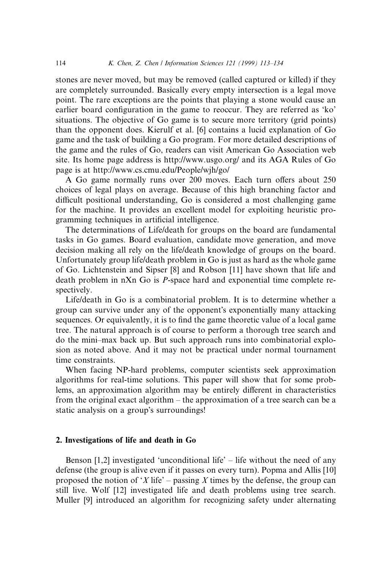stones are never moved, but may be removed (called captured or killed) if they are completely surrounded. Basically every empty intersection is a legal move point. The rare exceptions are the points that playing a stone would cause an earlier board configuration in the game to reoccur. They are referred as 'ko' situations. The objective of Go game is to secure more territory (grid points) than the opponent does. Kierulf et al. [6] contains a lucid explanation of Go game and the task of building a Go program. For more detailed descriptions of the game and the rules of Go, readers can visit American Go Association web site. Its home page address is http://www.usgo.org/ and its AGA Rules of Go page is at http://www.cs.cmu.edu/People/wjh/go/

A Go game normally runs over 200 moves. Each turn offers about 250 choices of legal plays on average. Because of this high branching factor and difficult positional understanding, Go is considered a most challenging game for the machine. It provides an excellent model for exploiting heuristic programming techniques in artificial intelligence.

The determinations of Life/death for groups on the board are fundamental tasks in Go games. Board evaluation, candidate move generation, and move decision making all rely on the life/death knowledge of groups on the board. Unfortunately group life/death problem in Go is just as hard as the whole game of Go. Lichtenstein and Sipser [8] and Robson [11] have shown that life and death problem in nXn Go is P-space hard and exponential time complete respectively.

Life/death in Go is a combinatorial problem. It is to determine whether a group can survive under any of the opponent's exponentially many attacking sequences. Or equivalently, it is to find the game theoretic value of a local game tree. The natural approach is of course to perform a thorough tree search and do the mini±max back up. But such approach runs into combinatorial explosion as noted above. And it may not be practical under normal tournament time constraints.

When facing NP-hard problems, computer scientists seek approximation algorithms for real-time solutions. This paper will show that for some problems, an approximation algorithm may be entirely different in characteristics from the original exact algorithm  $-$  the approximation of a tree search can be a static analysis on a group's surroundings!

# 2. Investigations of life and death in Go

Benson  $[1,2]$  investigated 'unconditional life' – life without the need of any defense (the group is alive even if it passes on every turn). Popma and Allis [10] proposed the notion of  $X$  life' – passing X times by the defense, the group can still live. Wolf [12] investigated life and death problems using tree search. Muller [9] introduced an algorithm for recognizing safety under alternating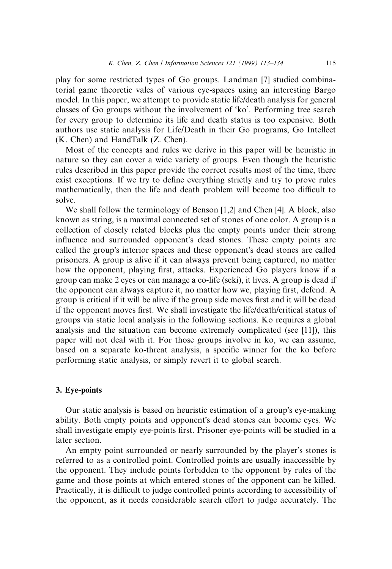play for some restricted types of Go groups. Landman [7] studied combinatorial game theoretic vales of various eye-spaces using an interesting Bargo model. In this paper, we attempt to provide static life/death analysis for general classes of Go groups without the involvement of `ko'. Performing tree search for every group to determine its life and death status is too expensive. Both authors use static analysis for Life/Death in their Go programs, Go Intellect (K. Chen) and HandTalk (Z. Chen).

Most of the concepts and rules we derive in this paper will be heuristic in nature so they can cover a wide variety of groups. Even though the heuristic rules described in this paper provide the correct results most of the time, there exist exceptions. If we try to define everything strictly and try to prove rules mathematically, then the life and death problem will become too difficult to solve.

We shall follow the terminology of Benson [1,2] and Chen [4]. A block, also known as string, is a maximal connected set of stones of one color. A group is a collection of closely related blocks plus the empty points under their strong influence and surrounded opponent's dead stones. These empty points are called the group's interior spaces and these opponent's dead stones are called prisoners. A group is alive if it can always prevent being captured, no matter how the opponent, playing first, attacks. Experienced Go players know if a group can make 2 eyes or can manage a co-life (seki), it lives. A group is dead if the opponent can always capture it, no matter how we, playing first, defend. A group is critical if it will be alive if the group side moves first and it will be dead if the opponent moves first. We shall investigate the life/death/critical status of groups via static local analysis in the following sections. Ko requires a global analysis and the situation can become extremely complicated (see [11]), this paper will not deal with it. For those groups involve in ko, we can assume, based on a separate ko-threat analysis, a specific winner for the ko before performing static analysis, or simply revert it to global search.

# 3. Eye-points

Our static analysis is based on heuristic estimation of a group's eye-making ability. Both empty points and opponent's dead stones can become eyes. We shall investigate empty eye-points first. Prisoner eye-points will be studied in a later section.

An empty point surrounded or nearly surrounded by the player's stones is referred to as a controlled point. Controlled points are usually inaccessible by the opponent. They include points forbidden to the opponent by rules of the game and those points at which entered stones of the opponent can be killed. Practically, it is difficult to judge controlled points according to accessibility of the opponent, as it needs considerable search effort to judge accurately. The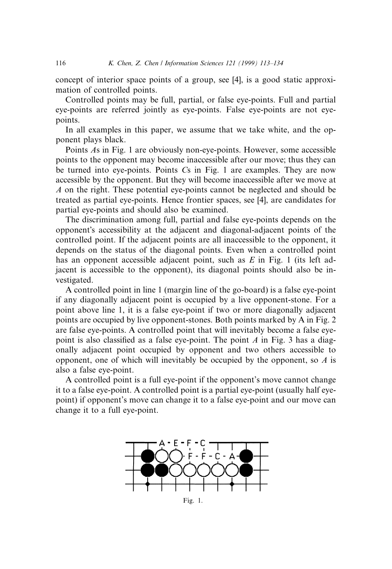concept of interior space points of a group, see [4], is a good static approximation of controlled points.

Controlled points may be full, partial, or false eye-points. Full and partial eye-points are referred jointly as eye-points. False eye-points are not eyepoints.

In all examples in this paper, we assume that we take white, and the opponent plays black.

Points As in Fig. 1 are obviously non-eye-points. However, some accessible points to the opponent may become inaccessible after our move; thus they can be turned into eye-points. Points Cs in Fig. 1 are examples. They are now accessible by the opponent. But they will become inaccessible after we move at A on the right. These potential eye-points cannot be neglected and should be treated as partial eye-points. Hence frontier spaces, see [4], are candidates for partial eye-points and should also be examined.

The discrimination among full, partial and false eye-points depends on the opponent's accessibility at the adjacent and diagonal-adjacent points of the controlled point. If the adjacent points are all inaccessible to the opponent, it depends on the status of the diagonal points. Even when a controlled point has an opponent accessible adjacent point, such as  $E$  in Fig. 1 (its left adjacent is accessible to the opponent), its diagonal points should also be investigated.

A controlled point in line 1 (margin line of the go-board) is a false eye-point if any diagonally adjacent point is occupied by a live opponent-stone. For a point above line 1, it is a false eye-point if two or more diagonally adjacent points are occupied by live opponent-stones. Both points marked by A in Fig. 2 are false eye-points. A controlled point that will inevitably become a false eyepoint is also classified as a false eye-point. The point  $A$  in Fig. 3 has a diagonally adjacent point occupied by opponent and two others accessible to opponent, one of which will inevitably be occupied by the opponent, so  $A$  is also a false eye-point.

A controlled point is a full eye-point if the opponent's move cannot change it to a false eye-point. A controlled point is a partial eye-point (usually half eyepoint) if opponent's move can change it to a false eye-point and our move can change it to a full eye-point.

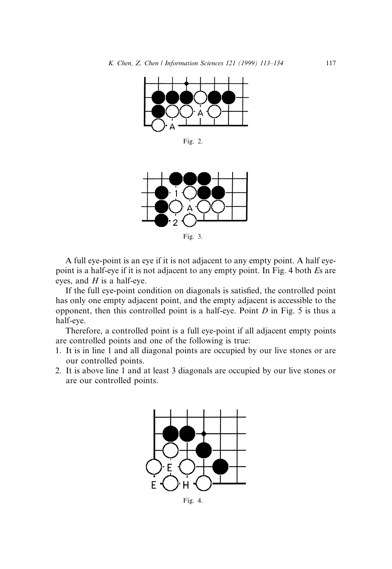

Fig. 2.



Fig. 3.

A full eye-point is an eye if it is not adjacent to any empty point. A half eyepoint is a half-eye if it is not adjacent to any empty point. In Fig. 4 both Es are eyes, and  $H$  is a half-eye.

If the full eye-point condition on diagonals is satisfied, the controlled point has only one empty adjacent point, and the empty adjacent is accessible to the opponent, then this controlled point is a half-eye. Point  $D$  in Fig. 5 is thus a half-eye.

Therefore, a controlled point is a full eye-point if all adjacent empty points are controlled points and one of the following is true:

- 1. It is in line 1 and all diagonal points are occupied by our live stones or are our controlled points.
- 2. It is above line 1 and at least 3 diagonals are occupied by our live stones or are our controlled points.



Fig. 4.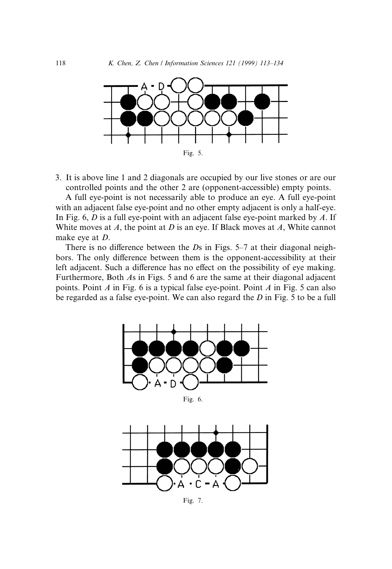

3. It is above line 1 and 2 diagonals are occupied by our live stones or are our controlled points and the other 2 are (opponent-accessible) empty points.

A full eye-point is not necessarily able to produce an eye. A full eye-point with an adjacent false eye-point and no other empty adjacent is only a half-eye. In Fig. 6,  $D$  is a full eye-point with an adjacent false eye-point marked by  $A$ . If White moves at  $A$ , the point at  $D$  is an eye. If Black moves at  $A$ , White cannot make eye at D.

There is no difference between the  $Ds$  in Figs. 5-7 at their diagonal neighbors. The only difference between them is the opponent-accessibility at their left adjacent. Such a difference has no effect on the possibility of eye making. Furthermore, Both As in Figs. 5 and 6 are the same at their diagonal adjacent points. Point A in Fig. 6 is a typical false eye-point. Point A in Fig. 5 can also be regarded as a false eye-point. We can also regard the D in Fig. 5 to be a full



Fig. 6.



Fig. 7.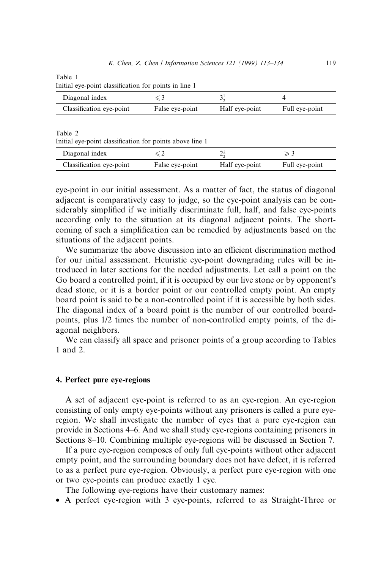Table 1

| Initial eye-point classification for points in line 1 |  |  |  |  |
|-------------------------------------------------------|--|--|--|--|
|-------------------------------------------------------|--|--|--|--|

| Diagonal index           |                 |                |                |
|--------------------------|-----------------|----------------|----------------|
| Classification eye-point | False eye-point | Half eye-point | Full eye-point |

Table 2

Initial eye-point classification for points above line 1

| Diagonal index           |                 | ⊷              |                |
|--------------------------|-----------------|----------------|----------------|
| Classification eye-point | False eye-point | Half eye-point | Full eye-point |

eye-point in our initial assessment. As a matter of fact, the status of diagonal adjacent is comparatively easy to judge, so the eye-point analysis can be considerably simplified if we initially discriminate full, half, and false eye-points according only to the situation at its diagonal adjacent points. The shortcoming of such a simplification can be remedied by adjustments based on the situations of the adjacent points.

We summarize the above discussion into an efficient discrimination method for our initial assessment. Heuristic eye-point downgrading rules will be introduced in later sections for the needed adjustments. Let call a point on the Go board a controlled point, if it is occupied by our live stone or by opponent's dead stone, or it is a border point or our controlled empty point. An empty board point is said to be a non-controlled point if it is accessible by both sides. The diagonal index of a board point is the number of our controlled boardpoints, plus 1/2 times the number of non-controlled empty points, of the diagonal neighbors.

We can classify all space and prisoner points of a group according to Tables 1 and 2.

## 4. Perfect pure eye-regions

A set of adjacent eye-point is referred to as an eye-region. An eye-region consisting of only empty eye-points without any prisoners is called a pure eyeregion. We shall investigate the number of eyes that a pure eye-region can provide in Sections 4–6. And we shall study eye-regions containing prisoners in Sections 8–10. Combining multiple eye-regions will be discussed in Section 7.

If a pure eye-region composes of only full eye-points without other adjacent empty point, and the surrounding boundary does not have defect, it is referred to as a perfect pure eye-region. Obviously, a perfect pure eye-region with one or two eye-points can produce exactly 1 eye.

The following eye-regions have their customary names:

· A perfect eye-region with 3 eye-points, referred to as Straight-Three or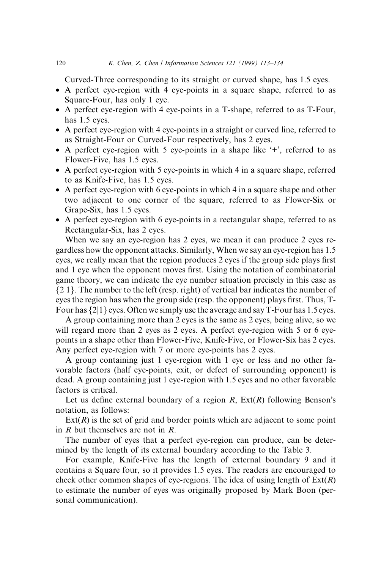Curved-Three corresponding to its straight or curved shape, has 1.5 eyes.

- · A perfect eye-region with 4 eye-points in a square shape, referred to as Square-Four, has only 1 eye.
- · A perfect eye-region with 4 eye-points in a T-shape, referred to as T-Four, has 1.5 eyes.
- · A perfect eye-region with 4 eye-points in a straight or curved line, referred to as Straight-Four or Curved-Four respectively, has 2 eyes.
- A perfect eye-region with 5 eye-points in a shape like  $+$ , referred to as Flower-Five, has 1.5 eyes.
- · A perfect eye-region with 5 eye-points in which 4 in a square shape, referred to as Knife-Five, has 1.5 eyes.
- · A perfect eye-region with 6 eye-points in which 4 in a square shape and other two adjacent to one corner of the square, referred to as Flower-Six or Grape-Six, has 1.5 eyes.
- · A perfect eye-region with 6 eye-points in a rectangular shape, referred to as Rectangular-Six, has 2 eyes.

When we say an eye-region has 2 eyes, we mean it can produce 2 eyes regardless how the opponent attacks. Similarly, When we say an eye-region has 1.5 eyes, we really mean that the region produces 2 eyes if the group side plays first and 1 eye when the opponent moves first. Using the notation of combinatorial game theory, we can indicate the eye number situation precisely in this case as  ${2|1}$ . The number to the left (resp. right) of vertical bar indicates the number of eyes the region has when the group side (resp. the opponent) plays first. Thus, T-Four has  $\{2|1\}$  eyes. Often we simply use the average and say T-Four has 1.5 eyes.

A group containing more than 2 eyes is the same as 2 eyes, being alive, so we will regard more than 2 eyes as 2 eyes. A perfect eye-region with 5 or 6 eyepoints in a shape other than Flower-Five, Knife-Five, or Flower-Six has 2 eyes. Any perfect eye-region with 7 or more eye-points has 2 eyes.

A group containing just 1 eye-region with 1 eye or less and no other favorable factors (half eye-points, exit, or defect of surrounding opponent) is dead. A group containing just 1 eye-region with 1.5 eyes and no other favorable factors is critical.

Let us define external boundary of a region  $R$ ,  $Ext(R)$  following Benson's notation, as follows:

 $Ext(R)$  is the set of grid and border points which are adjacent to some point in R but themselves are not in R.

The number of eyes that a perfect eye-region can produce, can be determined by the length of its external boundary according to the Table 3.

For example, Knife-Five has the length of external boundary 9 and it contains a Square four, so it provides 1.5 eyes. The readers are encouraged to check other common shapes of eye-regions. The idea of using length of  $Ext(R)$ to estimate the number of eyes was originally proposed by Mark Boon (personal communication).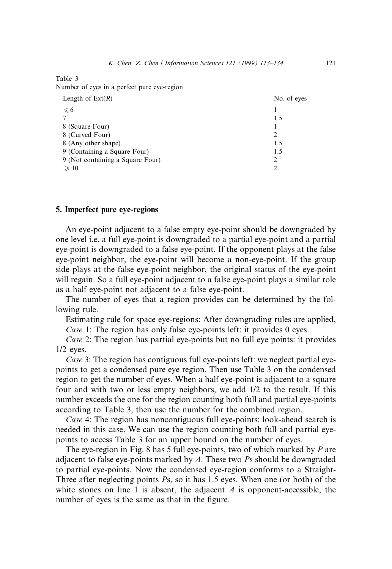## Table 3 Number of eyes in a perfect pure eye-region

| Length of $Ext(R)$               | No. of eyes |
|----------------------------------|-------------|
| $\leqslant 6$                    |             |
|                                  | 1.5         |
| 8 (Square Four)                  |             |
| 8 (Curved Four)                  |             |
| 8 (Any other shape)              | 1.5         |
| 9 (Containing a Square Four)     | 1.5         |
| 9 (Not containing a Square Four) | ∍           |
| $\geqslant$ 10                   |             |

#### 5. Imperfect pure eye-regions

An eye-point adjacent to a false empty eye-point should be downgraded by one level i.e. a full eye-point is downgraded to a partial eye-point and a partial eye-point is downgraded to a false eye-point. If the opponent plays at the false eye-point neighbor, the eye-point will become a non-eye-point. If the group side plays at the false eye-point neighbor, the original status of the eye-point will regain. So a full eye-point adjacent to a false eye-point plays a similar role as a half eye-point not adjacent to a false eye-point.

The number of eyes that a region provides can be determined by the following rule.

Estimating rule for space eye-regions: After downgrading rules are applied, Case 1: The region has only false eye-points left: it provides 0 eyes.

Case 2: The region has partial eye-points but no full eye points: it provides 1/2 eyes.

Case 3: The region has contiguous full eye-points left: we neglect partial eyepoints to get a condensed pure eye region. Then use Table 3 on the condensed region to get the number of eyes. When a half eye-point is adjacent to a square four and with two or less empty neighbors, we add 1/2 to the result. If this number exceeds the one for the region counting both full and partial eye-points according to Table 3, then use the number for the combined region.

Case 4: The region has noncontiguous full eye-points: look-ahead search is needed in this case. We can use the region counting both full and partial eyepoints to access Table 3 for an upper bound on the number of eyes.

The eye-region in Fig. 8 has 5 full eye-points, two of which marked by  $P$  are adjacent to false eye-points marked by A. These two Ps should be downgraded to partial eye-points. Now the condensed eye-region conforms to a Straight-Three after neglecting points Ps, so it has 1.5 eyes. When one (or both) of the white stones on line 1 is absent, the adjacent  $A$  is opponent-accessible, the number of eyes is the same as that in the figure.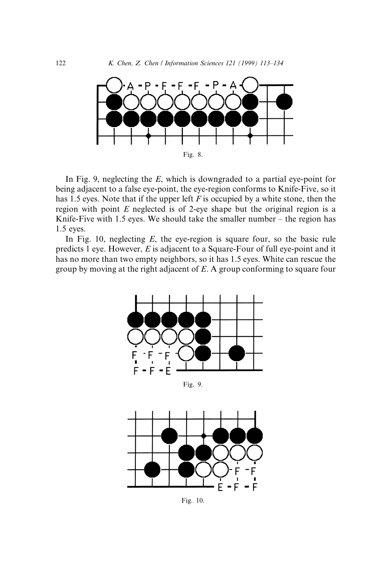

In Fig. 9, neglecting the  $E$ , which is downgraded to a partial eye-point for being adjacent to a false eye-point, the eye-region conforms to Knife-Five, so it has 1.5 eyes. Note that if the upper left  $F$  is occupied by a white stone, then the region with point  $E$  neglected is of 2-eye shape but the original region is a Knife-Five with 1.5 eyes. We should take the smaller number  $-$  the region has 1.5 eyes.

In Fig. 10, neglecting  $E$ , the eye-region is square four, so the basic rule predicts 1 eye. However, E is adjacent to a Square-Four of full eye-point and it has no more than two empty neighbors, so it has 1.5 eyes. White can rescue the group by moving at the right adjacent of E. A group conforming to square four



Fig. 10.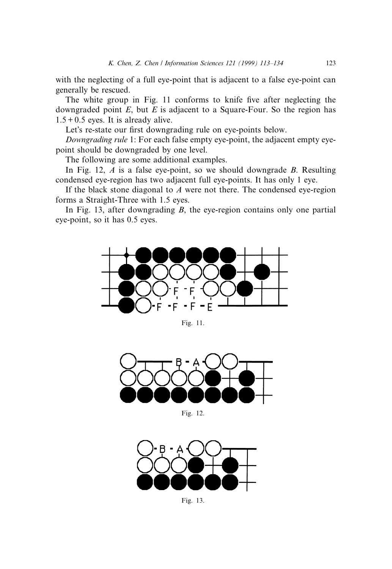with the neglecting of a full eye-point that is adjacent to a false eye-point can generally be rescued.

The white group in Fig. 11 conforms to knife five after neglecting the downgraded point  $E$ , but  $E$  is adjacent to a Square-Four. So the region has  $1.5 + 0.5$  eyes. It is already alive.

Let's re-state our first downgrading rule on eye-points below.

Downgrading rule 1: For each false empty eye-point, the adjacent empty eyepoint should be downgraded by one level.

The following are some additional examples.

In Fig. 12,  $A$  is a false eye-point, so we should downgrade  $B$ . Resulting condensed eye-region has two adjacent full eye-points. It has only 1 eye.

If the black stone diagonal to  $A$  were not there. The condensed eye-region forms a Straight-Three with 1.5 eyes.

In Fig. 13, after downgrading  $B$ , the eye-region contains only one partial eye-point, so it has 0.5 eyes.



Fig. 11.



Fig. 12.



Fig. 13.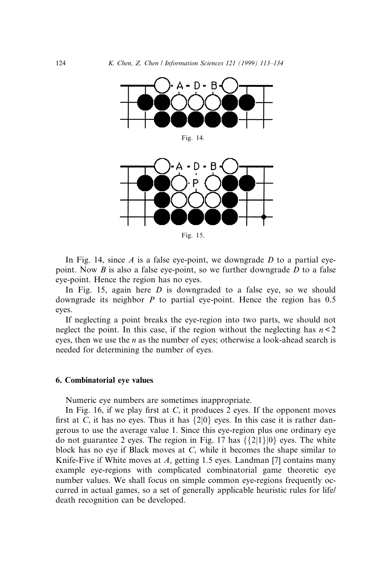

Fig. 15.

In Fig. 14, since A is a false eye-point, we downgrade D to a partial eyepoint. Now  $B$  is also a false eye-point, so we further downgrade  $D$  to a false eye-point. Hence the region has no eyes.

In Fig. 15, again here  $D$  is downgraded to a false eye, so we should downgrade its neighbor  $P$  to partial eve-point. Hence the region has 0.5 eyes.

If neglecting a point breaks the eye-region into two parts, we should not neglect the point. In this case, if the region without the neglecting has  $n < 2$ eyes, then we use the  $n$  as the number of eyes; otherwise a look-ahead search is needed for determining the number of eyes.

#### 6. Combinatorial eye values

Numeric eye numbers are sometimes inappropriate.

In Fig. 16, if we play first at C, it produces 2 eyes. If the opponent moves first at C, it has no eyes. Thus it has  $\{2|0\}$  eyes. In this case it is rather dangerous to use the average value 1. Since this eye-region plus one ordinary eye do not guarantee 2 eyes. The region in Fig. 17 has  $\{\{2|1\}|0\}$  eyes. The white block has no eye if Black moves at C, while it becomes the shape similar to Knife-Five if White moves at  $A$ , getting 1.5 eyes. Landman [7] contains many example eye-regions with complicated combinatorial game theoretic eye number values. We shall focus on simple common eye-regions frequently occurred in actual games, so a set of generally applicable heuristic rules for life/ death recognition can be developed.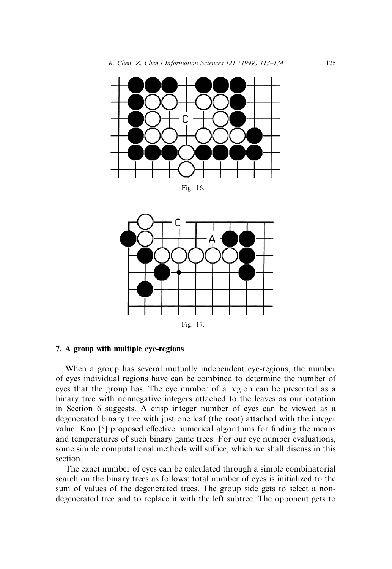

When a group has several mutually independent eye-regions, the number of eyes individual regions have can be combined to determine the number of eyes that the group has. The eye number of a region can be presented as a binary tree with nonnegative integers attached to the leaves as our notation in Section 6 suggests. A crisp integer number of eyes can be viewed as a degenerated binary tree with just one leaf (the root) attached with the integer value. Kao [5] proposed effective numerical algorithms for finding the means and temperatures of such binary game trees. For our eye number evaluations, some simple computational methods will suffice, which we shall discuss in this section.

Fig. 17.

7. A group with multiple eye-regions

The exact number of eyes can be calculated through a simple combinatorial search on the binary trees as follows: total number of eyes is initialized to the sum of values of the degenerated trees. The group side gets to select a nondegenerated tree and to replace it with the left subtree. The opponent gets to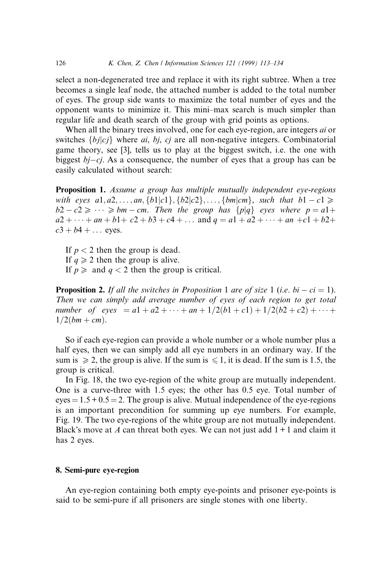select a non-degenerated tree and replace it with its right subtree. When a tree becomes a single leaf node, the attached number is added to the total number of eyes. The group side wants to maximize the total number of eyes and the opponent wants to minimize it. This mini-max search is much simpler than regular life and death search of the group with grid points as options.

When all the binary trees involved, one for each eye-region, are integers *ai* or switches  $\{b_j | c_j\}$  where *ai*, *bj*, *cj* are all non-negative integers. Combinatorial game theory, see [3], tells us to play at the biggest switch, i.e. the one with biggest  $bj-cj$ . As a consequence, the number of eyes that a group has can be easily calculated without search:

Proposition 1. Assume a group has multiple mutually independent eye-regions with eyes  $a1, a2, ..., an, \{b1|c1\}, \{b2|c2\}, ..., \{bm|cm\},$  such that  $b1 - c1 \geq$  $b2 - c2 \geq \cdots \geq b$ m – cm. Then the group has  $\{p|q\}$  eyes where  $p = a1 +$  $a2 + \cdots + an + b1 + c2 + b3 + c4 + \ldots$  and  $q = a1 + a2 + \cdots + an + c1 + b2 +$  $c3 + b4 + ...$  eyes.

If  $p < 2$  then the group is dead. If  $q\geq 2$  then the group is alive. If  $p \geqslant$  and  $q < 2$  then the group is critical.

**Proposition 2.** If all the switches in Proposition 1 are of size 1 (i.e. bi  $-ci = 1$ ). Then we can simply add average number of eyes of each region to get total number of eyes  $= a1 + a2 + \cdots + an + 1/2(b1 + c1) + 1/2(b2 + c2) + \cdots$  $1/2(bm + cm)$ .

So if each eye-region can provide a whole number or a whole number plus a half eyes, then we can simply add all eye numbers in an ordinary way. If the sum is  $\geq 2$ , the group is alive. If the sum is  $\leq 1$ , it is dead. If the sum is 1.5, the group is critical.

In Fig. 18, the two eye-region of the white group are mutually independent. One is a curve-three with 1.5 eyes; the other has 0.5 eye. Total number of  $eyes = 1.5 + 0.5 = 2$ . The group is alive. Mutual independence of the eye-regions is an important precondition for summing up eye numbers. For example, Fig. 19. The two eye-regions of the white group are not mutually independent. Black's move at A can threat both eyes. We can not just add  $1+1$  and claim it has 2 eyes.

## 8. Semi-pure eye-region

An eye-region containing both empty eye-points and prisoner eye-points is said to be semi-pure if all prisoners are single stones with one liberty.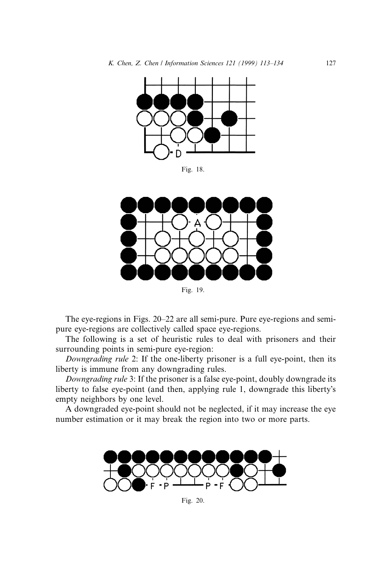

Fig. 18.



Fig. 19.

The eye-regions in Figs. 20–22 are all semi-pure. Pure eye-regions and semipure eye-regions are collectively called space eye-regions.

The following is a set of heuristic rules to deal with prisoners and their surrounding points in semi-pure eye-region:

Downgrading rule 2: If the one-liberty prisoner is a full eye-point, then its liberty is immune from any downgrading rules.

Downgrading rule 3: If the prisoner is a false eye-point, doubly downgrade its liberty to false eye-point (and then, applying rule 1, downgrade this liberty's empty neighbors by one level.

A downgraded eye-point should not be neglected, if it may increase the eye number estimation or it may break the region into two or more parts.



Fig. 20.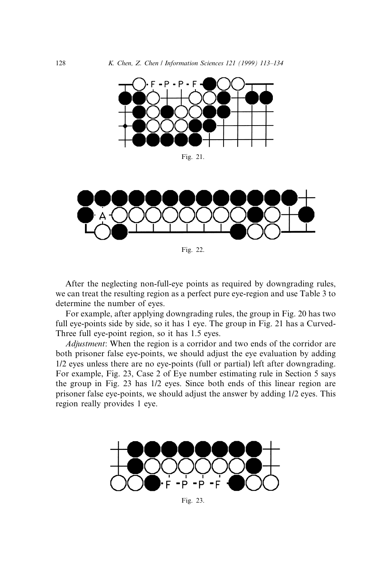

Fig. 21.



Fig. 22.

After the neglecting non-full-eye points as required by downgrading rules, we can treat the resulting region as a perfect pure eye-region and use Table 3 to determine the number of eyes.

For example, after applying downgrading rules, the group in Fig. 20 has two full eye-points side by side, so it has 1 eye. The group in Fig. 21 has a Curved-Three full eye-point region, so it has 1.5 eyes.

Adjustment: When the region is a corridor and two ends of the corridor are both prisoner false eye-points, we should adjust the eye evaluation by adding 1/2 eyes unless there are no eye-points (full or partial) left after downgrading. For example, Fig. 23, Case 2 of Eye number estimating rule in Section 5 says the group in Fig. 23 has 1/2 eyes. Since both ends of this linear region are prisoner false eye-points, we should adjust the answer by adding 1/2 eyes. This region really provides 1 eye.



Fig. 23.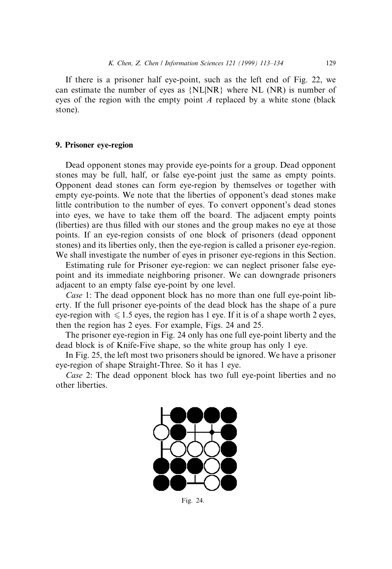If there is a prisoner half eye-point, such as the left end of Fig. 22, we can estimate the number of eyes as  $\{NL|NR\}$  where NL (NR) is number of eyes of the region with the empty point A replaced by a white stone (black stone).

# 9. Prisoner eye-region

Dead opponent stones may provide eye-points for a group. Dead opponent stones may be full, half, or false eye-point just the same as empty points. Opponent dead stones can form eye-region by themselves or together with empty eye-points. We note that the liberties of opponent's dead stones make little contribution to the number of eyes. To convert opponent's dead stones into eyes, we have to take them off the board. The adjacent empty points (liberties) are thus filled with our stones and the group makes no eye at those points. If an eye-region consists of one block of prisoners (dead opponent stones) and its liberties only, then the eye-region is called a prisoner eye-region. We shall investigate the number of eyes in prisoner eye-regions in this Section.

Estimating rule for Prisoner eye-region: we can neglect prisoner false eyepoint and its immediate neighboring prisoner. We can downgrade prisoners adjacent to an empty false eye-point by one level.

Case 1: The dead opponent block has no more than one full eye-point liberty. If the full prisoner eye-points of the dead block has the shape of a pure eye-region with  $\leq 1.5$  eyes, the region has 1 eye. If it is of a shape worth 2 eyes, then the region has 2 eyes. For example, Figs. 24 and 25.

The prisoner eye-region in Fig. 24 only has one full eye-point liberty and the dead block is of Knife-Five shape, so the white group has only 1 eye.

In Fig. 25, the left most two prisoners should be ignored. We have a prisoner eye-region of shape Straight-Three. So it has 1 eye.

Case 2: The dead opponent block has two full eye-point liberties and no other liberties.



Fig. 24.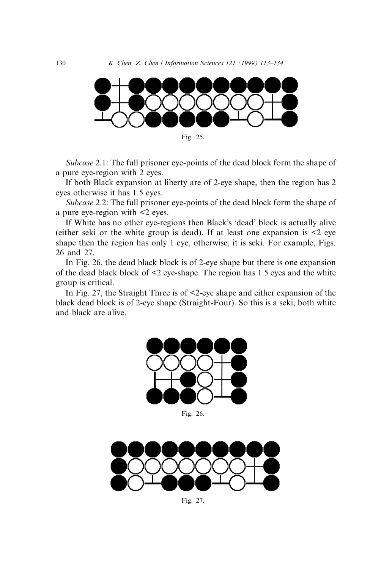

Subcase 2.1: The full prisoner eye-points of the dead block form the shape of a pure eye-region with 2 eyes.

If both Black expansion at liberty are of 2-eye shape, then the region has 2 eyes otherwise it has 1.5 eyes.

Subcase 2.2: The full prisoner eye-points of the dead block form the shape of a pure eye-region with <2 eyes.

If White has no other eye-regions then Black's 'dead' block is actually alive (either seki or the white group is dead). If at least one expansion is <2 eye shape then the region has only 1 eye, otherwise, it is seki. For example, Figs. 26 and 27.

In Fig. 26, the dead black block is of 2-eye shape but there is one expansion of the dead black block of <2 eye-shape. The region has 1.5 eyes and the white group is critical.

In Fig. 27, the Straight Three is of <2-eye shape and either expansion of the black dead block is of 2-eye shape (Straight-Four). So this is a seki, both white and black are alive.



Fig. 26.



Fig. 27.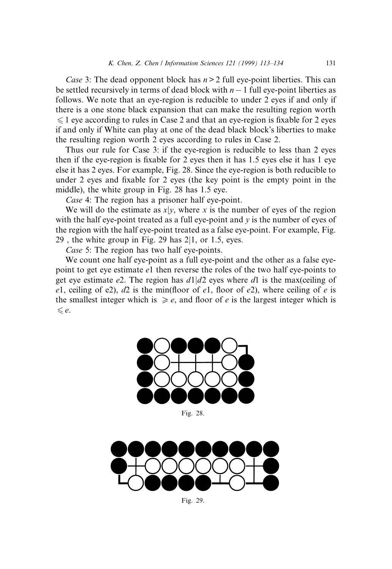Case 3: The dead opponent block has  $n > 2$  full eye-point liberties. This can be settled recursively in terms of dead block with  $n - 1$  full eye-point liberties as follows. We note that an eye-region is reducible to under 2 eyes if and only if there is a one stone black expansion that can make the resulting region worth  $\leq 1$  eye according to rules in Case 2 and that an eye-region is fixable for 2 eyes if and only if White can play at one of the dead black block's liberties to make the resulting region worth 2 eyes according to rules in Case 2.

Thus our rule for Case 3: if the eye-region is reducible to less than 2 eyes then if the eye-region is fixable for 2 eyes then it has  $1.5$  eyes else it has 1 eye else it has 2 eyes. For example, Fig. 28. Since the eye-region is both reducible to under 2 eyes and fixable for 2 eyes (the key point is the empty point in the middle), the white group in Fig. 28 has 1.5 eye.

Case 4: The region has a prisoner half eye-point.

We will do the estimate as  $x|y$ , where x is the number of eyes of the region with the half eye-point treated as a full eye-point and  $y$  is the number of eyes of the region with the half eye-point treated as a false eye-point. For example, Fig. 29, the white group in Fig. 29 has  $2|1$ , or 1.5, eyes.

Case 5: The region has two half eye-points.

We count one half eye-point as a full eye-point and the other as a false eyepoint to get eye estimate e1 then reverse the roles of the two half eye-points to get eye estimate e2. The region has  $d1/d2$  eyes where d1 is the max(ceiling of e1, ceiling of e2),  $d2$  is the min(floor of e1, floor of e2), where ceiling of e is the smallest integer which is  $\geq e$ , and floor of e is the largest integer which is  $\leq e$ .



Fig. 28.



Fig. 29.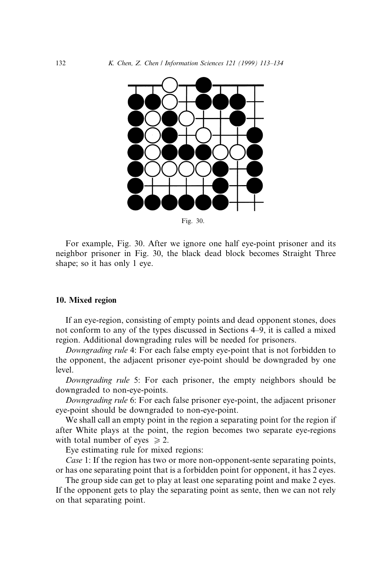

For example, Fig. 30. After we ignore one half eye-point prisoner and its neighbor prisoner in Fig. 30, the black dead block becomes Straight Three shape; so it has only 1 eye.

# 10. Mixed region

If an eye-region, consisting of empty points and dead opponent stones, does not conform to any of the types discussed in Sections 4–9, it is called a mixed region. Additional downgrading rules will be needed for prisoners.

Downgrading rule 4: For each false empty eye-point that is not forbidden to the opponent, the adjacent prisoner eye-point should be downgraded by one level.

Downgrading rule 5: For each prisoner, the empty neighbors should be downgraded to non-eye-points.

Downgrading rule 6: For each false prisoner eye-point, the adjacent prisoner eye-point should be downgraded to non-eye-point.

We shall call an empty point in the region a separating point for the region if after White plays at the point, the region becomes two separate eye-regions with total number of eyes  $\ge 2$ .

Eye estimating rule for mixed regions:

Case 1: If the region has two or more non-opponent-sente separating points, or has one separating point that is a forbidden point for opponent, it has 2 eyes.

The group side can get to play at least one separating point and make 2 eyes. If the opponent gets to play the separating point as sente, then we can not rely on that separating point.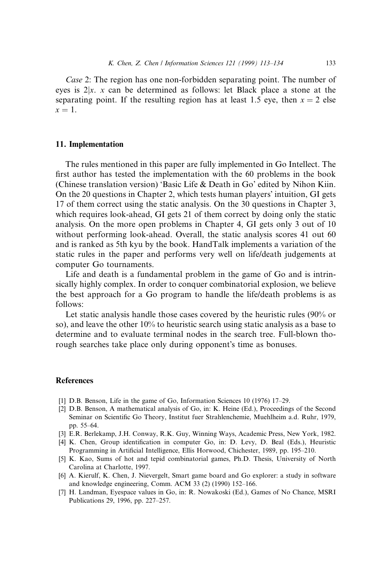Case 2: The region has one non-forbidden separating point. The number of eyes is  $2|x, x$  can be determined as follows: let Black place a stone at the separating point. If the resulting region has at least 1.5 eye, then  $x = 2$  else  $x = 1$ .

#### 11. Implementation

The rules mentioned in this paper are fully implemented in Go Intellect. The first author has tested the implementation with the 60 problems in the book (Chinese translation version) `Basic Life & Death in Go' edited by Nihon Kiin. On the 20 questions in Chapter 2, which tests human players' intuition,  $GI$  gets 17 of them correct using the static analysis. On the 30 questions in Chapter 3, which requires look-ahead, GI gets 21 of them correct by doing only the static analysis. On the more open problems in Chapter 4, GI gets only 3 out of 10 without performing look-ahead. Overall, the static analysis scores 41 out 60 and is ranked as 5th kyu by the book. HandTalk implements a variation of the static rules in the paper and performs very well on life/death judgements at computer Go tournaments.

Life and death is a fundamental problem in the game of Go and is intrinsically highly complex. In order to conquer combinatorial explosion, we believe the best approach for a Go program to handle the life/death problems is as follows:

Let static analysis handle those cases covered by the heuristic rules (90% or so), and leave the other 10% to heuristic search using static analysis as a base to determine and to evaluate terminal nodes in the search tree. Full-blown thorough searches take place only during opponent's time as bonuses.

#### References

- [1] D.B. Benson, Life in the game of Go, Information Sciences  $10(1976)$  17–29.
- [2] D.B. Benson, A mathematical analysis of Go, in: K. Heine (Ed.), Proceedings of the Second Seminar on Scientific Go Theory, Institut fuer Strahlenchemie, Muehlheim a.d. Ruhr, 1979, pp. 55-64.
- [3] E.R. Berlekamp, J.H. Conway, R.K. Guy, Winning Ways, Academic Press, New York, 1982.
- [4] K. Chen, Group identification in computer Go, in: D. Levy, D. Beal (Eds.), Heuristic Programming in Artificial Intelligence, Ellis Horwood, Chichester, 1989, pp. 195-210.
- [5] K. Kao, Sums of hot and tepid combinatorial games, Ph.D. Thesis, University of North Carolina at Charlotte, 1997.
- [6] A. Kierulf, K. Chen, J. Nievergelt, Smart game board and Go explorer: a study in software and knowledge engineering, Comm. ACM 33 $(2)$  (1990) 152–166.
- [7] H. Landman, Eyespace values in Go, in: R. Nowakoski (Ed.), Games of No Chance, MSRI Publications 29, 1996, pp. 227-257.